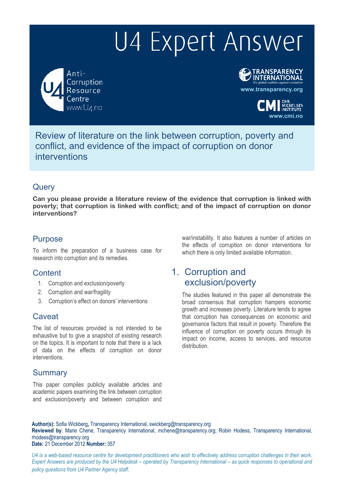Anti-Corruption Resource www.U4.no





Review of literature on the link between corruption, poverty and conflict, and evidence of the impact of corruption on donor interventions

### **Query**

**Can you please provide a literature review of the evidence that corruption is linked with poverty; that corruption is linked with conflict; and of the impact of corruption on donor interventions?** 

### Purpose

To inform the preparation of a business case for research into corruption and its remedies.

### **Content**

- 1. Corruption and exclusion/poverty
- 2. Corruption and war/fragility
- 3. Corruption's effect on donors' interventions

### **Caveat**

The list of resources provided is not intended to be exhaustive but to give a snapshot of existing research on the topics. It is important to note that there is a lack of data on the effects of corruption on donor interventions.

### Summary

This paper compiles publicly available articles and academic papers examining the link between corruption and exclusion/poverty and between corruption and

war/instability. It also features a number of articles on the effects of corruption on donor interventions for which there is only limited available information.

# 1. Corruption and exclusion/poverty

The studies featured in this paper all demonstrate the broad consensus that corruption hampers economic growth and increases poverty. Literature tends to agree that corruption has consequences on economic and governance factors that result in poverty. Therefore the influence of corruption on poverty occurs through its impact on income, access to services, and resource distribution.

**Author(s):** Sofia Wickberg**,** Transparency International, swickberg@transparency.org

**Reviewed by**: Marie Chene, Transparency International, mchene@transparency.org; Robin Hodess, Transparency International, rhodess@transparency.org

**Date:** 21 December 2012 **Number:** 357

*U4 is a web-based resource centre for development practitioners who wish to effectively address corruption challenges in their work. Expert Answers are produced by the U4 Helpdesk – operated by Transparency International – as quick responses to operational and policy questions from U4 Partner Agency staff.*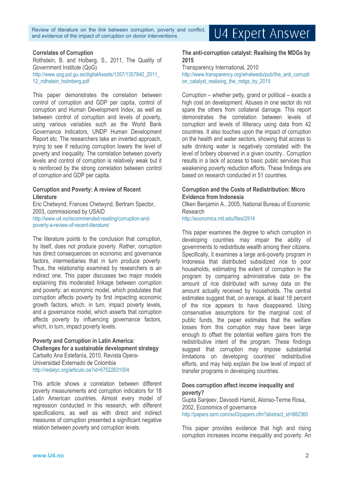Review of literature on the link between corruption, poverty and conflict, and evidence of the impact of corruption on donor interventions

# U4 Expert Answer

#### **Correlates of Corruption**

Rothstein, B. and Holberg, S., 2011, The Quality of Government Institute (QoG) http://www.qog.pol.gu.se/digitalAssets/1357/1357840\_2011\_ 12 rothstein\_holmberg.pdf

This paper demonstrates the correlation between control of corruption and GDP per capita, control of corruption and Human Development Index, as well as between control of corruption and levels of poverty, using various variables such as the World Bank Governance Indicators, UNDP Human Development Report etc. The researchers take an inverted approach, trying to see if reducing corruption lowers the level of poverty and inequality. The correlation between poverty levels and control of corruption is relatively weak but it is reinforced by the strong correlation between control of corruption and GDP per capita.

#### **Corruption and Poverty: A review of Recent Literature**

Eric Chetwynd, Frances Chetwynd, Bertram Spector, 2003, commissioned by USAID http://www.u4.no/recommended-reading/corruption-andpoverty-a-review-of-recent-literature/

The literature points to the conclusion that corruption, by itself, does not produce poverty. Rather, corruption has direct consequences on economic and governance factors, intermediaries that in turn produce poverty. Thus, the relationship examined by researchers is an indirect one. This paper discusses two major models explaining this moderated linkage between corruption and poverty: an economic model, which postulates that corruption affects poverty by first impacting economic growth factors, which, in turn, impact poverty levels, and a governance model, which asserts that corruption affects poverty by influencing governance factors, which, in turn, impact poverty levels.

#### **Poverty and Corruption in Latin America: Challenges for a sustainable development strategy**  Carballo Ana Estefanía, 2010, Revista Opera-Universidad Externado de Colombia http://redalyc.org/articulo.oa?id=67522631004

This article shows a correlation between different poverty measurements and corruption indicators for 18 Latin American countries. Almost every model of regression conducted in this research, with different specifications, as well as with direct and indirect measures of corruption presented a significant negative relation between poverty and corruption levels.

#### **The anti-corruption catalyst: Realising the MDGs by 2015**

Transparency International, 2010 http://www.transparency.org/whatwedo/pub/the\_anti\_corrupti on catalyst realising the mdgs by 2015

Corruption – whether petty, grand or political – exacts a high cost on development. Abuses in one sector do not spare the others from collateral damage. This report demonstrates the correlation between levels of corruption and levels of illiteracy using data from 42 countries. It also touches upon the impact of corruption on the health and water sectors, showing that access to safe drinking water is negatively correlated with the level of bribery observed in a given country.. Corruption results in a lack of access to basic public services thus weakening poverty reduction efforts. These findings are based on research conducted in 51 countries.

#### **Corruption and the Costs of Redistribution: Micro Evidence from Indonesia**

Olken Benjamin A., 2005, National Bureau of Economic Research

http://economics.mit.edu/files/2914

This paper examines the degree to which corruption in developing countries may impair the ability of governments to redistribute wealth among their citizens. Specifically, it examines a large anti-poverty program in Indonesia that distributed subsidized rice to poor households, estimating the extent of corruption in the program by comparing administrative data on the amount of rice distributed with survey data on the amount actually received by households. The central estimates suggest that, on average, at least 18 percent of the rice appears to have disappeared. Using conservative assumptions for the marginal cost of public funds, the paper estimates that the welfare losses from this corruption may have been large enough to offset the potential welfare gains from the redistributive intent of the program. These findings suggest that corruption may impose substantial limitations on developing countries' redistributive efforts, and may help explain the low level of impact of transfer programs in developing countries.

#### **Does corruption affect income inequality and poverty?**

Gupta Sanjeev, Davoodi Hamid, Alonso-Terme Rosa, 2002, Economics of governance http://papers.ssrn.com/sol3/papers.cfm?abstract\_id=882360

This paper provides evidence that high and rising corruption increases income inequality and poverty. An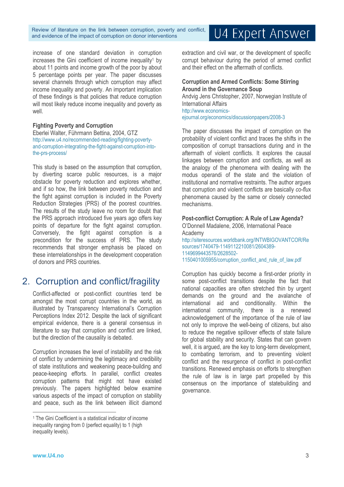Review of literature on the link between corruption, poverty and conflict, and evidence of the impact of corruption on donor interventions

#### increase of one standard deviation in corruption increases the Gini coefficient of income inequality<sup>1</sup> by about 11 points and income growth of the poor by about 5 percentage points per year. The paper discusses several channels through which corruption may affect income inequality and poverty. An important implication of these findings is that policies that reduce corruption will most likely reduce income inequality and poverty as well.

#### **Fighting Poverty and Corruption**

Eberlei Walter, Führmann Bettina, 2004, GTZ http://www.u4.no/recommended-reading/fighting-povertyand-corruption-integrating-the-fight-against-corruption-intothe-prs-process/

This study is based on the assumption that corruption, by diverting scarce public resources, is a major obstacle for poverty reduction and explores whether, and if so how, the link between poverty reduction and the fight against corruption is included in the Poverty Reduction Strategies (PRS) of the poorest countries. The results of the study leave no room for doubt that the PRS approach introduced five years ago offers key points of departure for the fight against corruption. Conversely, the fight against corruption is a precondition for the success of PRS. The study recommends that stronger emphasis be placed on these interrelationships in the development cooperation of donors and PRS countries.

# 2. Corruption and conflict/fragility

Conflict-affected or post-conflict countries tend be amongst the most corrupt countries in the world, as illustrated by Transparency International's Corruption Perceptions Index 2012. Despite the lack of significant empirical evidence, there is a general consensus in literature to say that corruption and conflict are linked, but the direction of the causality is debated.

Corruption increases the level of instability and the risk of conflict by undermining the legitimacy and credibility of state institutions and weakening peace-building and peace-keeping efforts. In parallel, conflict creates corruption patterns that might not have existed previously. The papers highlighted below examine various aspects of the impact of corruption on stability and peace, such as the link between illicit diamond extraction and civil war, or the development of specific corrupt behaviour during the period of armed conflict and their effect on the aftermath of conflicts.

**Corruption and Armed Conflicts: Some Stirring Around in the Governance Soup**  Andvig Jens Christopher, 2007, Norwegian Institute of International Affairs http://www.economicsejournal.org/economics/discussionpapers/2008-3

The paper discusses the impact of corruption on the probability of violent conflict and traces the shifts in the composition of corrupt transactions during and in the aftermath of violent conflicts. It explores the causal linkages between corruption and conflicts, as well as the analogy of the phenomena with dealing with the modus operandi of the state and the violation of institutional and normative restraints. The author argues that corruption and violent conflicts are basically *co-flu*x phenomena caused by the same or closely connected mechanisms.

#### **Post-conflict Corruption: A Rule of Law Agenda?** O'Donnell Madalene, 2006, International Peace Academy http://siteresources.worldbank.org/INTWBIGOVANTCOR/Re sources/1740479-1149112210081/2604389- 1149699443576/2628502-

1150401005955/corruption\_conflict\_and\_rule\_of\_law.pdf

Corruption has quickly become a first-order priority in some post-conflict transitions despite the fact that national capacities are often stretched thin by urgent demands on the ground and the avalanche of international aid and conditionality. Within the international community, there is a renewed acknowledgement of the importance of the rule of law not only to improve the well-being of citizens, but also to reduce the negative spillover effects of state failure for global stability and security. States that can govern well, it is argued, are the key to long-term development, to combating terrorism, and to preventing violent conflict and the resurgence of conflict in post-conflict transitions. Renewed emphasis on efforts to strengthen the rule of law is in large part propelled by this consensus on the importance of statebuilding and governance.

 $\overline{a}$ 

# U4 Expert Answer

<sup>1</sup> The Gini Coefficient is a statistical indicator of income inequality ranging from 0 (perfect equality) to 1 (high inequality levels).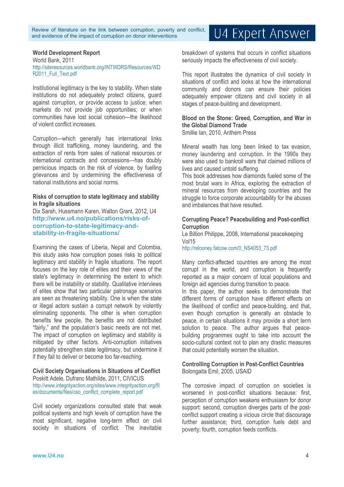#### **World Development Report**

World Bank, 2011 http://siteresources.worldbank.org/INTWDRS/Resources/WD R2011\_Full\_Text.pdf

Institutional legitimacy is the key to stability. When state institutions do not adequately protect citizens, guard against corruption, or provide access to justice; when markets do not provide job opportunities; or when communities have lost social cohesion—the likelihood of violent conflict increases.

Corruption—which generally has international links through illicit trafficking, money laundering, and the extraction of rents from sales of national resources or international contracts and concessions—has doubly pernicious impacts on the risk of violence, by fuelling grievances and by undermining the effectiveness of national institutions and social norms.

#### **Risks of corruption to state legitimacy and stability in fragile situations**

Dix Sarah, Hussmann Karen, Walton Grant, 2012, U4 **http://www.u4.no/publications/risks-ofcorruption-to-state-legitimacy-andstability-in-fragile-situations/**

Examining the cases of Liberia, Nepal and Colombia, this study asks how corruption poses risks to political legitimacy and stability in fragile situations. The report focuses on the key role of elites and their views of the state's legitimacy in determining the extent to which there will be instability or stability. Qualitative interviews of elites show that two particular patronage scenarios are seen as threatening stability. One is when the state or illegal actors sustain a corrupt network by violently eliminating opponents. The other is when corruption benefits few people, the benefits are not distributed "fairly," and the population's basic needs are not met. The impact of corruption on legitimacy and stability is mitigated by other factors. Anti-corruption initiatives potentially strengthen state legitimacy, but undermine it if they fail to deliver or become too far-reaching.

#### **Civil Society Organisations in Situations of Conflict**

Poskitt Adele, Dufranc Mathilde, 2011, CIVICUS http://www.integrityaction.org/sites/www.integrityaction.org/fil es/documents/files/cso\_conflict\_complete\_report.pdf

Civil society organizations consulted state that weak political systems and high levels of corruption have the most significant, negative long-term effect on civil society in situations of conflict. The inevitable

breakdown of systems that occurs in conflict situations seriously impacts the effectiveness of civil society.

This report illustrates the dynamics of civil society in situations of conflict and looks at how the international community and donors can ensure their policies adequately empower citizens and civil society in all stages of peace-building and development.

#### **Blood on the Stone: Greed, Corruption, and War in the Global Diamond Trade**

Smillie Ian, 2010, Anthem Press

Mineral wealth has long been linked to tax evasion, money laundering and corruption. In the 1990s they were also used to bankroll wars that claimed millions of lives and caused untold suffering.

This book addresses how diamonds fueled some of the most brutal wars in Africa, exploring the extraction of mineral resources from developing countries and the struggle to force corporate accountability for the abuses and imbalances that have resulted.

#### **Corrupting Peace? Peacebuilding and Post-conflict Corruption**

Le Billion Philippe, 2008, International peacekeeping Vol15

http://relooney.fatcow.com/0\_NS4053\_73.pdf

Many conflict-affected countries are among the most corrupt in the world, and corruption is frequently reported as a major concern of local populations and foreign aid agencies during transition to peace.

In this paper, the author seeks to demonstrate that different forms of corruption have different effects on the likelihood of conflict and peace-building, and that, even though corruption is generally an obstacle to peace, in certain situations it may provide a short term solution to peace. The author argues that peacebuilding programmes ought to take into account the socio-cultural context not to plan any drastic measures that could potentially worsen the situation.

#### **Controlling Corruption in Post-Conflict Countries**  Bolongaita Emil, 2005, USAID

The corrosive impact of corruption on societies is worsened in post-conflict situations because: first, perception of corruption weakens enthusiasm for donor support: second, corruption diverges parts of the postconflict support creating a vicious circle that discourage further assistance; third, corruption fuels debt and poverty; fourth, corruption feeds conflicts.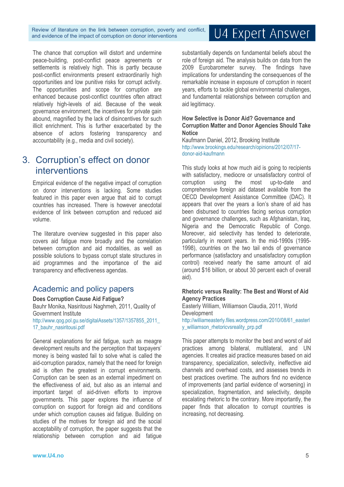Review of literature on the link between corruption, poverty and conflict, and evidence of the impact of corruption on donor interventions

The chance that corruption will distort and undermine peace-building, post-conflict peace agreements or settlements is relatively high. This is partly because post-conflict environments present extraordinarily high opportunities and low punitive risks for corrupt activity. The opportunities and scope for corruption are enhanced because post-conflict countries often attract relatively high-levels of aid. Because of the weak governance environment, the incentives for private gain abound, magnified by the lack of disincentives for such illicit enrichment. This is further exacerbated by the absence of actors fostering transparency and accountability (e.g., media and civil society).

## 3. Corruption's effect on donor interventions

Empirical evidence of the negative impact of corruption on donor interventions is lacking. Some studies featured in this paper even argue that aid to corrupt countries has increased. There is however anecdotal evidence of link between corruption and reduced aid volume.

The literature overview suggested in this paper also covers aid fatigue more broadly and the correlation between corruption and aid modalities, as well as possible solutions to bypass corrupt state structures in aid programmes and the importance of the aid transparency and effectiveness agendas.

### Academic and policy papers

#### **Does Corruption Cause Aid Fatigue?**

Bauhr Monika, Nasiritousi Naghmeh, 2011, Quality of Government Institute

http://www.qog.pol.gu.se/digitalAssets/1357/1357855\_2011\_ 17<sup>bauhr</sup> nasiritousi.pdf

General explanations for aid fatigue, such as meagre development results and the perception that taxpayers' money is being wasted fail to solve what is called the aid-corruption paradox, namely that the need for foreign aid is often the greatest in corrupt environments. Corruption can be seen as an external impediment on the effectiveness of aid, but also as an internal and important target of aid-driven efforts to improve governments. This paper explores the influence of corruption on support for foreign aid and conditions under which corruption causes aid fatigue. Building on studies of the motives for foreign aid and the social acceptability of corruption, the paper suggests that the relationship between corruption and aid fatigue

# U4 Expert Answer

substantially depends on fundamental beliefs about the role of foreign aid. The analysis builds on data from the 2009 Eurobarometer survey. The findings have implications for understanding the consequences of the remarkable increase in exposure of corruption in recent years, efforts to tackle global environmental challenges, and fundamental relationships between corruption and aid legitimacy.

#### **How Selective is Donor Aid? Governance and Corruption Matter and Donor Agencies Should Take Notice**

Kaufmann Daniel, 2012, Brooking Institute http://www.brookings.edu/research/opinions/2012/07/17 donor-aid-kaufmann

This study looks at how much aid is going to recipients with satisfactory, mediocre or unsatisfactory control of corruption using the most up-to-date and comprehensive foreign aid dataset available from the OECD Development Assistance Committee (DAC). It appears that over the years a lion's share of aid has been disbursed to countries facing serious corruption and governance challenges, such as Afghanistan, Iraq, Nigeria and the Democratic Republic of Congo. Moreover, aid selectivity has tended to deteriorate, particularly in recent years. In the mid-1990s (1995- 1998), countries on the two tail ends of governance performance (satisfactory and unsatisfactory corruption control) received nearly the same amount of aid (around \$16 billion, or about 30 percent each of overall aid).

#### **Rhetoric versus Reality: The Best and Worst of Aid Agency Practices**

Easterly William, Williamson Claudia, 2011, World **Development** 

http://williameasterly.files.wordpress.com/2010/08/61\_easterl y\_williamson\_rhetoricvsreality\_prp.pdf

This paper attempts to monitor the best and worst of aid practices among bilateral, multilateral, and UN agencies. It creates aid practice measures based on aid transparency, specialization, selectivity, ineffective aid channels and overhead costs, and assesses trends in best practices overtime. The authors find no evidence of improvements (and partial evidence of worsening) in specialization, fragmentation, and selectivity, despite escalating rhetoric to the contrary. More importantly, the paper finds that allocation to corrupt countries is increasing, not decreasing.